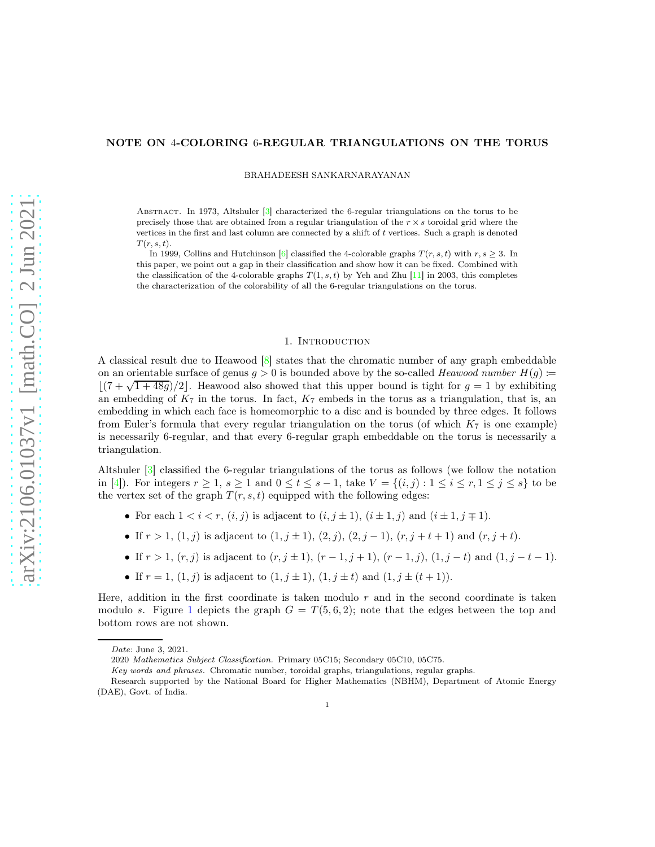# <span id="page-0-1"></span>NOTE ON 4-COLORING 6-REGULAR TRIANGULATIONS ON THE TORUS

BRAHADEESH SANKARNARAYANAN

ABSTRACT. In 1973, Altshuler [\[3\]](#page-7-0) characterized the 6-regular triangulations on the torus to be precisely those that are obtained from a regular triangulation of the  $r \times s$  toroidal grid where the vertices in the first and last column are connected by a shift of t vertices. Such a graph is denoted  $T(r, s, t)$ .

In 1999, Collins and Hutchinson [\[6\]](#page-8-0) classified the 4-colorable graphs  $T(r, s, t)$  with  $r, s \geq 3$ . In this paper, we point out a gap in their classification and show how it can be fixed. Combined with the classification of the 4-colorable graphs  $T(1, s, t)$  by Yeh and Zhu [\[11\]](#page-8-1) in 2003, this completes the characterization of the colorability of all the 6-regular triangulations on the torus.

## 1. INTRODUCTION

<span id="page-0-0"></span>A classical result due to Heawood [\[8\]](#page-8-2) states that the chromatic number of any graph embeddable on an orientable surface of genus  $g > 0$  is bounded above by the so-called *Heawood number*  $H(q)$  :=  $\lfloor (7 + \sqrt{1 + 48g})/2 \rfloor$ . Heawood also showed that this upper bound is tight for  $g = 1$  by exhibiting an embedding of  $K_7$  in the torus. In fact,  $K_7$  embeds in the torus as a triangulation, that is, an embedding in which each face is homeomorphic to a disc and is bounded by three edges. It follows from Euler's formula that every regular triangulation on the torus (of which  $K<sub>7</sub>$  is one example) is necessarily 6-regular, and that every 6-regular graph embeddable on the torus is necessarily a triangulation.

Altshuler [\[3\]](#page-7-0) classified the 6-regular triangulations of the torus as follows (we follow the notation in [\[4\]](#page-7-1)). For integers  $r \geq 1$ ,  $s \geq 1$  and  $0 \leq t \leq s-1$ , take  $V = \{(i, j) : 1 \leq i \leq r, 1 \leq j \leq s\}$  to be the vertex set of the graph  $T(r, s, t)$  equipped with the following edges:

- For each  $1 < i < r$ ,  $(i, j)$  is adjacent to  $(i, j \pm 1)$ ,  $(i \pm 1, j)$  and  $(i \pm 1, j \mp 1)$ .
- If  $r > 1$ ,  $(1, j)$  is adjacent to  $(1, j \pm 1)$ ,  $(2, j)$ ,  $(2, j 1)$ ,  $(r, j + t + 1)$  and  $(r, j + t)$ .
- If  $r > 1$ ,  $(r, j)$  is adjacent to  $(r, j \pm 1)$ ,  $(r 1, j + 1)$ ,  $(r 1, j)$ ,  $(1, j t)$  and  $(1, j t 1)$ .
- If  $r = 1$ ,  $(1, j)$  is adjacent to  $(1, j \pm 1)$ ,  $(1, j \pm t)$  and  $(1, j \pm (t + 1))$ .

Here, addition in the first coordinate is taken modulo  $r$  and in the second coordinate is taken modulo s. Figure [1](#page-1-0) depicts the graph  $G = T(5, 6, 2)$ ; note that the edges between the top and bottom rows are not shown.

Date: June 3, 2021.

<sup>2020</sup> Mathematics Subject Classification. Primary 05C15; Secondary 05C10, 05C75.

Key words and phrases. Chromatic number, toroidal graphs, triangulations, regular graphs.

Research supported by the National Board for Higher Mathematics (NBHM), Department of Atomic Energy (DAE), Govt. of India.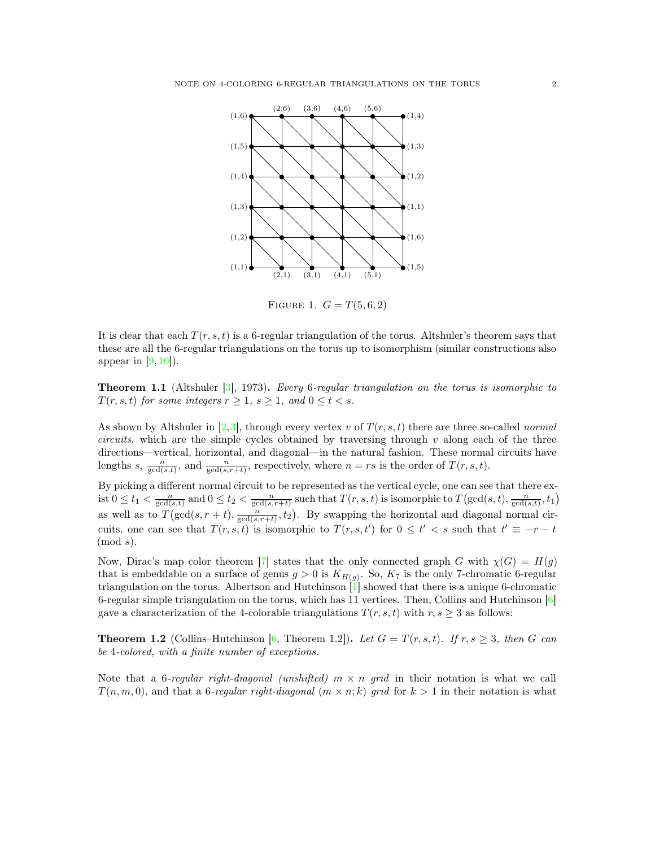<span id="page-1-3"></span>

<span id="page-1-0"></span>FIGURE 1.  $G = T(5, 6, 2)$ 

It is clear that each  $T(r, s, t)$  is a 6-regular triangulation of the torus. Altshuler's theorem says that these are all the 6-regular triangulations on the torus up to isomorphism (similar constructions also appear in  $(9, 10)$ .

<span id="page-1-2"></span>Theorem 1.1 (Altshuler [\[3\]](#page-7-0), 1973). *Every* 6*-regular triangulation on the torus is isomorphic to*  $T(r, s, t)$  *for some integers*  $r \geq 1$ *,*  $s \geq 1$ *, and*  $0 \leq t < s$ *.* 

As shown by Altshuler in  $[2,3]$  $[2,3]$ , through every vertex v of  $T(r, s, t)$  there are three so-called *normal circuits*, which are the simple cycles obtained by traversing through v along each of the three directions—vertical, horizontal, and diagonal—in the natural fashion. These normal circuits have lengths s,  $\frac{n}{\gcd(s,t)}$ , and  $\frac{n}{\gcd(s,r+t)}$ , respectively, where  $n = rs$  is the order of  $T(r, s, t)$ .

By picking a different normal circuit to be represented as the vertical cycle, one can see that there exist  $0 \le t_1 < \frac{n}{\gcd(s,t)}$  and  $0 \le t_2 < \frac{n}{\gcd(s,r+t)}$  such that  $T(r,s,t)$  is isomorphic to  $T(\gcd(s,t),\frac{n}{\gcd(s,t)},t_1)$ as well as to  $T(\gcd(s, r + t), \frac{n}{\gcd(s, r + t)}, t_2)$ . By swapping the horizontal and diagonal normal circuits, one can see that  $T(r, s, t)$  is isomorphic to  $T(r, s, t')$  for  $0 \leq t' < s$  such that  $t' \equiv -r - t$  $\pmod{s}$ .

Now, Dirac's map color theorem [\[7\]](#page-8-5) states that the only connected graph G with  $\chi(G) = H(g)$ that is embeddable on a surface of genus  $g > 0$  is  $K_{H(g)}$ . So,  $K_7$  is the only 7-chromatic 6-regular triangulation on the torus. Albertson and Hutchinson [\[1\]](#page-7-3) showed that there is a unique 6-chromatic 6-regular simple triangulation on the torus, which has 11 vertices. Then, Collins and Hutchinson [\[6\]](#page-8-0) gave a characterization of the 4-colorable triangulations  $T(r, s, t)$  with  $r, s \geq 3$  as follows:

<span id="page-1-1"></span>**Theorem 1.2** (Collins–Hutchinson [\[6,](#page-8-0) Theorem 1.2]). Let  $G = T(r, s, t)$ . If  $r, s \geq 3$ , then G can *be* 4*-colored, with a finite number of exceptions.*

Note that a 6*-regular right-diagonal (unshifted)* m × n *grid* in their notation is what we call  $T(n, m, 0)$ , and that a 6-regular right-diagonal  $(m \times n; k)$  grid for  $k > 1$  in their notation is what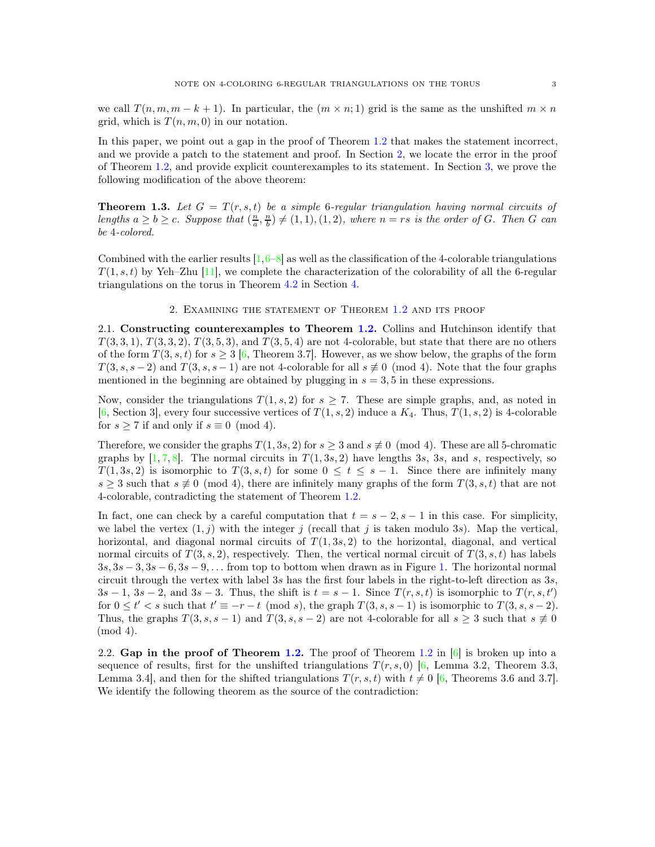<span id="page-2-4"></span>we call  $T(n, m, m - k + 1)$ . In particular, the  $(m \times n; 1)$  grid is the same as the unshifted  $m \times n$ grid, which is  $T(n, m, 0)$  in our notation.

In this paper, we point out a gap in the proof of Theorem [1.2](#page-1-1) that makes the statement incorrect, and we provide a patch to the statement and proof. In Section [2,](#page-2-0) we locate the error in the proof of Theorem [1.2,](#page-1-1) and provide explicit counterexamples to its statement. In Section [3,](#page-3-0) we prove the following modification of the above theorem:

<span id="page-2-2"></span>**Theorem 1.3.** Let  $G = T(r, s, t)$  be a simple 6-regular triangulation having normal circuits of lengths  $a \geq b \geq c$ . Suppose that  $(\frac{n}{a}, \frac{n}{b}) \neq (1, 1), (1, 2)$ , where  $n = rs$  is the order of G. Then G can *be* 4*-colored.*

<span id="page-2-0"></span>Combined with the earlier results  $[1, 6-8]$  $[1, 6-8]$  as well as the classification of the 4-colorable triangulations  $T(1, s, t)$  by Yeh–Zhu [\[11\]](#page-8-1), we complete the characterization of the colorability of all the 6-regular triangulations on the torus in Theorem [4.2](#page-7-4) in Section [4.](#page-4-0)

### 2. Examining the statement of Theorem [1.2](#page-1-1) and its proof

<span id="page-2-3"></span>2.1. Constructing counterexamples to Theorem [1.2.](#page-1-1) Collins and Hutchinson identify that  $T(3,3,1), T(3,3,2), T(3,5,3),$  and  $T(3,5,4)$  are not 4-colorable, but state that there are no others of the form  $T(3, s, t)$  for  $s \geq 3$  [\[6,](#page-8-0) Theorem 3.7]. However, as we show below, the graphs of the form  $T(3, s, s-2)$  and  $T(3, s, s-1)$  are not 4-colorable for all  $s \not\equiv 0 \pmod{4}$ . Note that the four graphs mentioned in the beginning are obtained by plugging in  $s = 3, 5$  in these expressions.

Now, consider the triangulations  $T(1, s, 2)$  for  $s \geq 7$ . These are simple graphs, and, as noted in [\[6,](#page-8-0) Section 3], every four successive vertices of  $T(1, s, 2)$  induce a  $K_4$ . Thus,  $T(1, s, 2)$  is 4-colorable for  $s \geq 7$  if and only if  $s \equiv 0 \pmod{4}$ .

Therefore, we consider the graphs  $T(1, 3s, 2)$  for  $s \geq 3$  and  $s \not\equiv 0 \pmod{4}$ . These are all 5-chromatic graphs by  $[1, 7, 8]$  $[1, 7, 8]$  $[1, 7, 8]$  $[1, 7, 8]$ . The normal circuits in  $T(1, 3s, 2)$  have lengths 3s, 3s, and s, respectively, so  $T(1, 3s, 2)$  is isomorphic to  $T(3, s, t)$  for some  $0 \le t \le s - 1$ . Since there are infinitely many  $s \geq 3$  such that  $s \not\equiv 0 \pmod{4}$ , there are infinitely many graphs of the form  $T(3, s, t)$  that are not 4-colorable, contradicting the statement of Theorem [1.2.](#page-1-1)

In fact, one can check by a careful computation that  $t = s - 2$ ,  $s - 1$  in this case. For simplicity, we label the vertex  $(1, j)$  with the integer j (recall that j is taken modulo 3s). Map the vertical, horizontal, and diagonal normal circuits of  $T(1, 3s, 2)$  to the horizontal, diagonal, and vertical normal circuits of  $T(3, s, 2)$ , respectively. Then, the vertical normal circuit of  $T(3, s, t)$  has labels  $3s, 3s - 3, 3s - 6, 3s - 9, \ldots$  from top to bottom when drawn as in Figure [1.](#page-1-0) The horizontal normal circuit through the vertex with label 3s has the first four labels in the right-to-left direction as 3s,  $3s-1, 3s-2,$  and  $3s-3$ . Thus, the shift is  $t = s-1$ . Since  $T(r, s, t)$  is isomorphic to  $T(r, s, t')$ for  $0 \le t' < s$  such that  $t' \equiv -r - t \pmod{s}$ , the graph  $T(3, s, s - 1)$  is isomorphic to  $T(3, s, s - 2)$ . Thus, the graphs  $T(3, s, s - 1)$  and  $T(3, s, s - 2)$  are not 4-colorable for all  $s \geq 3$  such that  $s \neq 0$ (mod 4).

<span id="page-2-1"></span>2.2. Gap in the proof of Theorem [1.2.](#page-1-1) The proof of Theorem [1.2](#page-1-1) in  $\lceil 6 \rceil$  is broken up into a sequence of results, first for the unshifted triangulations  $T(r, s, 0)$  [\[6,](#page-8-0) Lemma 3.2, Theorem 3.3, Lemma 3.4], and then for the shifted triangulations  $T(r, s, t)$  with  $t \neq 0$  [\[6,](#page-8-0) Theorems 3.6 and 3.7]. We identify the following theorem as the source of the contradiction: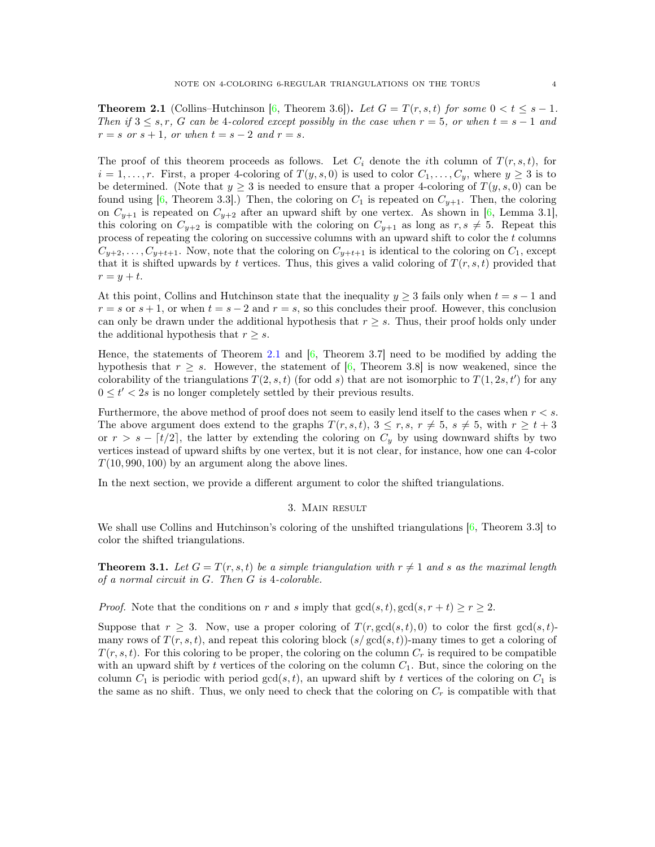<span id="page-3-2"></span>**Theorem 2.1** (Collins–Hutchinson [\[6,](#page-8-0) Theorem 3.6]). Let  $G = T(r, s, t)$  for some  $0 < t \leq s - 1$ . *Then if*  $3 \leq s, r, G$  *can be* 4*-colored except possibly in the case when*  $r = 5$ , *or when*  $t = s - 1$  *and*  $r = s \text{ or } s + 1, \text{ or when } t = s - 2 \text{ and } r = s.$ 

The proof of this theorem proceeds as follows. Let  $C_i$  denote the *i*th column of  $T(r, s, t)$ , for  $i = 1, \ldots, r$ . First, a proper 4-coloring of  $T(y, s, 0)$  is used to color  $C_1, \ldots, C_y$ , where  $y \geq 3$  is to be determined. (Note that  $y \geq 3$  is needed to ensure that a proper 4-coloring of  $T(y, s, 0)$  can be found using [\[6,](#page-8-0) Theorem 3.3].) Then, the coloring on  $C_1$  is repeated on  $C_{y+1}$ . Then, the coloring on  $C_{y+1}$  is repeated on  $C_{y+2}$  after an upward shift by one vertex. As shown in [\[6,](#page-8-0) Lemma 3.1], this coloring on  $C_{y+2}$  is compatible with the coloring on  $C_{y+1}$  as long as  $r, s \neq 5$ . Repeat this process of repeating the coloring on successive columns with an upward shift to color the t columns  $C_{y+2}, \ldots, C_{y+t+1}$ . Now, note that the coloring on  $C_{y+t+1}$  is identical to the coloring on  $C_1$ , except that it is shifted upwards by t vertices. Thus, this gives a valid coloring of  $T(r, s, t)$  provided that  $r = y + t.$ 

At this point, Collins and Hutchinson state that the inequality  $y \geq 3$  fails only when  $t = s - 1$  and  $r = s$  or  $s + 1$ , or when  $t = s - 2$  and  $r = s$ , so this concludes their proof. However, this conclusion can only be drawn under the additional hypothesis that  $r \geq s$ . Thus, their proof holds only under the additional hypothesis that  $r \geq s$ .

Hence, the statements of Theorem [2.1](#page-2-1) and [\[6,](#page-8-0) Theorem 3.7] need to be modified by adding the hypothesis that  $r \geq s$ . However, the statement of [\[6,](#page-8-0) Theorem 3.8] is now weakened, since the colorability of the triangulations  $T(2, s, t)$  (for odd s) that are not isomorphic to  $T(1, 2s, t')$  for any  $0\leq t'<2s$  is no longer completely settled by their previous results.

Furthermore, the above method of proof does not seem to easily lend itself to the cases when  $r < s$ . The above argument does extend to the graphs  $T(r, s, t)$ ,  $3 \leq r, s, r \neq 5$ ,  $s \neq 5$ , with  $r \geq t + 3$ or  $r > s - \lceil t/2 \rceil$ , the latter by extending the coloring on  $C_y$  by using downward shifts by two vertices instead of upward shifts by one vertex, but it is not clear, for instance, how one can 4-color  $T(10, 990, 100)$  by an argument along the above lines.

<span id="page-3-0"></span>In the next section, we provide a different argument to color the shifted triangulations.

#### 3. Main result

<span id="page-3-1"></span>We shall use Collins and Hutchinson's coloring of the unshifted triangulations  $[6,$  Theorem 3.3] to color the shifted triangulations.

**Theorem 3.1.** Let  $G = T(r, s, t)$  be a simple triangulation with  $r \neq 1$  and s as the maximal length *of a normal circuit in* G*. Then* G *is* 4*-colorable.*

*Proof.* Note that the conditions on r and s imply that  $gcd(s, t), gcd(s, r + t) \ge r \ge 2$ .

Suppose that  $r \geq 3$ . Now, use a proper coloring of  $T(r, \gcd(s, t), 0)$  to color the first  $\gcd(s, t)$ many rows of  $T(r, s, t)$ , and repeat this coloring block  $(s/gcd(s, t))$ -many times to get a coloring of  $T(r, s, t)$ . For this coloring to be proper, the coloring on the column  $C_r$  is required to be compatible with an upward shift by t vertices of the coloring on the column  $C_1$ . But, since the coloring on the column  $C_1$  is periodic with period  $gcd(s, t)$ , an upward shift by t vertices of the coloring on  $C_1$  is the same as no shift. Thus, we only need to check that the coloring on  $C_r$  is compatible with that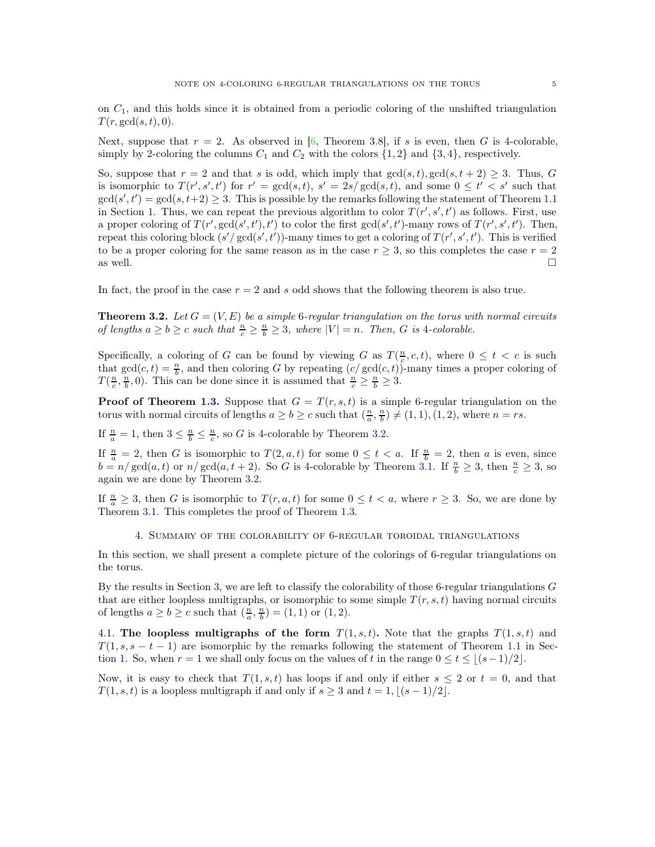<span id="page-4-2"></span>on  $C_1$ , and this holds since it is obtained from a periodic coloring of the unshifted triangulation  $T(r, \gcd(s, t), 0).$ 

Next, suppose that  $r = 2$ . As observed in [\[6,](#page-8-0) Theorem 3.8], if s is even, then G is 4-colorable, simply by 2-coloring the columns  $C_1$  and  $C_2$  with the colors  $\{1, 2\}$  and  $\{3, 4\}$ , respectively.

So, suppose that  $r = 2$  and that s is odd, which imply that  $gcd(s, t), gcd(s, t + 2) \geq 3$ . Thus, G is isomorphic to  $T(r', s', t')$  for  $r' = \gcd(s, t)$ ,  $s' = 2s/\gcd(s, t)$ , and some  $0 \le t' < s'$  such that  $gcd(s', t') = gcd(s, t+2) \geq 3$ . This is possible by the remarks following the statement of Theorem [1.1](#page-1-2) in Section [1.](#page-0-0) Thus, we can repeat the previous algorithm to color  $T(r', s', t')$  as follows. First, use a proper coloring of  $T(r', \gcd(s', t'), t')$  to color the first  $\gcd(s', t')$ -many rows of  $T(r', s', t')$ . Then, repeat this coloring block  $(s'/\gcd(s', t'))$ -many times to get a coloring of  $T(r', s', t')$ . This is verified to be a proper coloring for the same reason as in the case  $r \geq 3$ , so this completes the case  $r = 2$  as well. as well.  $\square$ 

<span id="page-4-1"></span>In fact, the proof in the case  $r = 2$  and s odd shows that the following theorem is also true.

**Theorem 3.2.** Let  $G = (V, E)$  be a simple 6-regular triangulation on the torus with normal circuits *of lengths*  $a \ge b \ge c$  *such that*  $\frac{n}{c} \ge \frac{n}{b} \ge 3$ *, where*  $|V| = n$ *. Then, G is 4-colorable.* 

Specifically, a coloring of G can be found by viewing G as  $T(\frac{n}{c}, c, t)$ , where  $0 \leq t < c$  is such that  $gcd(c, t) = \frac{n}{b}$ , and then coloring G by repeating  $(c / gcd(c, t))$ -many times a proper coloring of  $T(\frac{n}{c}, \frac{n}{b}, 0)$ . This can be done since it is assumed that  $\frac{n}{c} \geq \frac{n}{b} \geq 3$ .

**Proof of Theorem [1.3.](#page-2-2)** Suppose that  $G = T(r, s, t)$  is a simple 6-regular triangulation on the torus with normal circuits of lengths  $a \ge b \ge c$  such that  $(\frac{n}{a}, \frac{n}{b}) \ne (1, 1), (1, 2)$ , where  $n = rs$ .

If  $\frac{n}{a} = 1$ , then  $3 \leq \frac{n}{b} \leq \frac{n}{c}$ , so G is 4-colorable by Theorem [3.2.](#page-4-1)

If  $\frac{n}{a} = 2$ , then G is isomorphic to  $T(2, a, t)$  for some  $0 \le t < a$ . If  $\frac{n}{b} = 2$ , then a is even, since  $b = n/\gcd(a, t)$  or  $n/\gcd(a, t + 2)$ . So G is 4-colorable by Theorem [3.1.](#page-3-1) If  $\frac{n}{b} \geq 3$ , then  $\frac{n}{c} \geq 3$ , so again we are done by Theorem [3.2.](#page-4-1)

<span id="page-4-0"></span>If  $\frac{n}{a} \geq 3$ , then G is isomorphic to  $T(r, a, t)$  for some  $0 \leq t < a$ , where  $r \geq 3$ . So, we are done by Theorem [3.1.](#page-3-1) This completes the proof of Theorem [1.3.](#page-2-2)

4. Summary of the colorability of 6-regular toroidal triangulations

In this section, we shall present a complete picture of the colorings of 6-regular triangulations on the torus.

By the results in Section [3,](#page-3-0) we are left to classify the colorability of those 6-regular triangulations  $G$ that are either loopless multigraphs, or isomorphic to some simple  $T(r, s, t)$  having normal circuits of lengths  $a \ge b \ge c$  such that  $(\frac{n}{a}, \frac{n}{b}) = (1, 1)$  or  $(1, 2)$ .

4.1. The loopless multigraphs of the form  $T(1, s, t)$ . Note that the graphs  $T(1, s, t)$  and  $T(1, s, s-t-1)$  are isomorphic by the remarks following the statement of Theorem [1.1](#page-1-2) in Sec-tion [1.](#page-0-0) So, when  $r = 1$  we shall only focus on the values of t in the range  $0 \le t \le |(s-1)/2|$ .

Now, it is easy to check that  $T(1, s, t)$  has loops if and only if either  $s \leq 2$  or  $t = 0$ , and that  $T(1, s, t)$  is a loopless multigraph if and only if  $s \geq 3$  and  $t = 1, |(s - 1)/2|$ .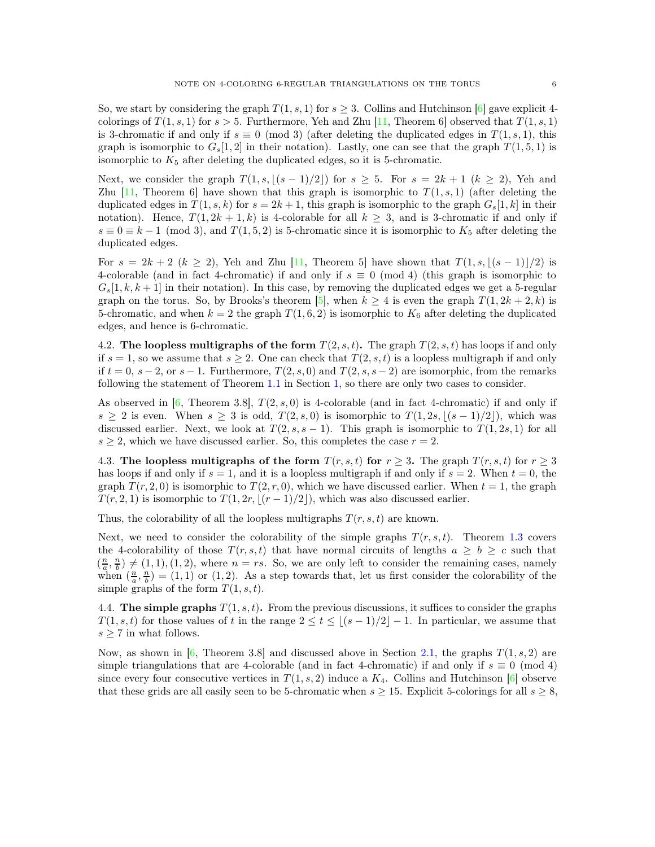<span id="page-5-1"></span>So, we start by considering the graph  $T(1, s, 1)$  for  $s \geq 3$ . Collins and Hutchinson [\[6\]](#page-8-0) gave explicit 4colorings of  $T(1, s, 1)$  for  $s > 5$ . Furthermore, Yeh and Zhu [\[11,](#page-8-1) Theorem 6] observed that  $T(1, s, 1)$ is 3-chromatic if and only if  $s \equiv 0 \pmod{3}$  (after deleting the duplicated edges in  $T(1, s, 1)$ , this graph is isomorphic to  $G_s[1,2]$  in their notation). Lastly, one can see that the graph  $T(1,5,1)$  is isomorphic to  $K_5$  after deleting the duplicated edges, so it is 5-chromatic.

Next, we consider the graph  $T(1, s, |(s - 1)/2|)$  for  $s \geq 5$ . For  $s = 2k + 1$   $(k \geq 2)$ , Yeh and Zhu [\[11,](#page-8-1) Theorem 6] have shown that this graph is isomorphic to  $T(1, s, 1)$  (after deleting the duplicated edges in  $T(1, s, k)$  for  $s = 2k + 1$ , this graph is isomorphic to the graph  $G_s[1, k]$  in their notation). Hence,  $T(1, 2k + 1, k)$  is 4-colorable for all  $k \geq 3$ , and is 3-chromatic if and only if  $s \equiv 0 \equiv k - 1 \pmod{3}$ , and  $T(1, 5, 2)$  is 5-chromatic since it is isomorphic to  $K_5$  after deleting the duplicated edges.

For  $s = 2k + 2$   $(k \ge 2)$ , Yeh and Zhu [\[11,](#page-8-1) Theorem 5] have shown that  $T(1, s, \lceil (s-1)/2 \rceil)$  is 4-colorable (and in fact 4-chromatic) if and only if  $s \equiv 0 \pmod{4}$  (this graph is isomorphic to  $G_s[1, k, k+1]$  in their notation). In this case, by removing the duplicated edges we get a 5-regular graph on the torus. So, by Brooks's theorem [\[5\]](#page-7-5), when  $k \geq 4$  is even the graph  $T(1, 2k + 2, k)$  is 5-chromatic, and when  $k = 2$  the graph  $T(1, 6, 2)$  is isomorphic to  $K_6$  after deleting the duplicated edges, and hence is 6-chromatic.

4.2. The loopless multigraphs of the form  $T(2, s, t)$ . The graph  $T(2, s, t)$  has loops if and only if  $s = 1$ , so we assume that  $s \geq 2$ . One can check that  $T(2, s, t)$  is a loopless multigraph if and only if  $t = 0$ ,  $s - 2$ , or  $s - 1$ . Furthermore,  $T(2, s, 0)$  and  $T(2, s, s - 2)$  are isomorphic, from the remarks following the statement of Theorem [1.1](#page-1-2) in Section [1,](#page-0-0) so there are only two cases to consider.

As observed in  $[6,$  Theorem 3.8,  $T(2, s, 0)$  is 4-colorable (and in fact 4-chromatic) if and only if  $s \geq 2$  is even. When  $s \geq 3$  is odd,  $T(2, s, 0)$  is isomorphic to  $T(1, 2s, \lfloor (s-1)/2 \rfloor)$ , which was discussed earlier. Next, we look at  $T(2, s, s - 1)$ . This graph is isomorphic to  $T(1, 2s, 1)$  for all  $s \geq 2$ , which we have discussed earlier. So, this completes the case  $r = 2$ .

4.3. The loopless multigraphs of the form  $T(r, s, t)$  for  $r \geq 3$ . The graph  $T(r, s, t)$  for  $r \geq 3$ has loops if and only if  $s = 1$ , and it is a loopless multigraph if and only if  $s = 2$ . When  $t = 0$ , the graph  $T(r, 2, 0)$  is isomorphic to  $T(2, r, 0)$ , which we have discussed earlier. When  $t = 1$ , the graph  $T(r, 2, 1)$  is isomorphic to  $T(1, 2r, \lfloor (r-1)/2 \rfloor)$ , which was also discussed earlier.

Thus, the colorability of all the loopless multigraphs  $T(r, s, t)$  are known.

Next, we need to consider the colorability of the simple graphs  $T(r, s, t)$ . Theorem [1.3](#page-2-2) covers the 4-colorability of those  $T(r, s, t)$  that have normal circuits of lengths  $a \geq b \geq c$  such that  $(\frac{n}{a}, \frac{n}{b}) \neq (1, 1), (1, 2)$ , where  $n = rs$ . So, we are only left to consider the remaining cases, namely when  $(\frac{n}{a}, \frac{n}{b}) = (1, 1)$  or  $(1, 2)$ . As a step towards that, let us first consider the colorability of the simple graphs of the form  $T(1, s, t)$ .

<span id="page-5-0"></span>4.4. The simple graphs  $T(1, s, t)$ . From the previous discussions, it suffices to consider the graphs  $T(1, s, t)$  for those values of t in the range  $2 \le t \le (s-1)/2$ , In particular, we assume that  $s \geq 7$  in what follows.

Now, as shown in  $[6,$  Theorem 3.8] and discussed above in Section [2.1,](#page-2-3) the graphs  $T(1, s, 2)$  are simple triangulations that are 4-colorable (and in fact 4-chromatic) if and only if  $s \equiv 0 \pmod{4}$ since every four consecutive vertices in  $T(1, s, 2)$  induce a  $K_4$ . Collins and Hutchinson [\[6\]](#page-8-0) observe that these grids are all easily seen to be 5-chromatic when  $s \geq 15$ . Explicit 5-colorings for all  $s \geq 8$ ,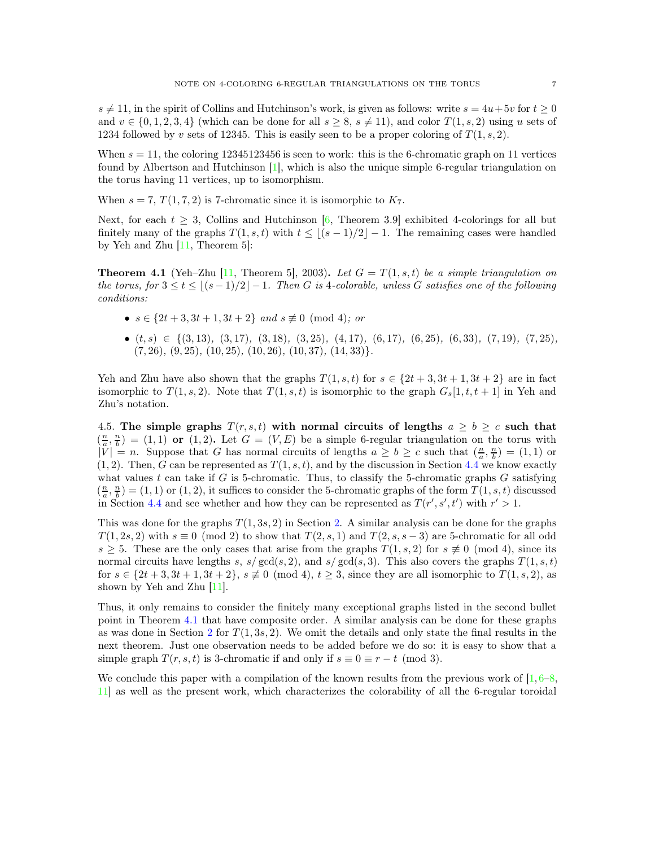<span id="page-6-1"></span> $s \neq 11$ , in the spirit of Collins and Hutchinson's work, is given as follows: write  $s = 4u + 5v$  for  $t \geq 0$ and  $v \in \{0, 1, 2, 3, 4\}$  (which can be done for all  $s \geq 8$ ,  $s \neq 11$ ), and color  $T(1, s, 2)$  using u sets of 1234 followed by v sets of 12345. This is easily seen to be a proper coloring of  $T(1, s, 2)$ .

When  $s = 11$ , the coloring 12345123456 is seen to work: this is the 6-chromatic graph on 11 vertices found by Albertson and Hutchinson [\[1\]](#page-7-3), which is also the unique simple 6-regular triangulation on the torus having 11 vertices, up to isomorphism.

When  $s = 7, T(1, 7, 2)$  is 7-chromatic since it is isomorphic to  $K_7$ .

<span id="page-6-0"></span>Next, for each  $t \geq 3$ , Collins and Hutchinson [\[6,](#page-8-0) Theorem 3.9] exhibited 4-colorings for all but finitely many of the graphs  $T(1, s, t)$  with  $t \leq (s - 1)/2 - 1$ . The remaining cases were handled by Yeh and Zhu [\[11,](#page-8-1) Theorem 5]:

**Theorem 4.1** (Yeh–Zhu [\[11,](#page-8-1) Theorem 5], 2003). Let  $G = T(1, s, t)$  be a simple triangulation on *the torus, for*  $3 \le t \le \lfloor (s-1)/2 \rfloor - 1$ . Then G is 4-colorable, unless G satisfies one of the following *conditions:*

- $s \in \{2t + 3, 3t + 1, 3t + 2\}$  *and*  $s \not\equiv 0 \pmod{4}$ *; or*
- (t, s) ∈ {(3, 13)*,* (3, 17)*,* (3, 18)*,* (3, 25)*,* (4, 17)*,* (6, 17)*,* (6, 25)*,* (6, 33)*,* (7, 19)*,* (7, 25)*,* (7, 26)*,* (9, 25)*,* (10, 25)*,* (10, 26)*,* (10, 37)*,* (14, 33)}*.*

Yeh and Zhu have also shown that the graphs  $T(1, s, t)$  for  $s \in \{2t + 3, 3t + 1, 3t + 2\}$  are in fact isomorphic to  $T(1, s, 2)$ . Note that  $T(1, s, t)$  is isomorphic to the graph  $G_s[1, t, t + 1]$  in Yeh and Zhu's notation.

4.5. The simple graphs  $T(r, s, t)$  with normal circuits of lengths  $a \geq b \geq c$  such that  $(\frac{n}{a}, \frac{n}{b}) = (1, 1)$  or  $(1, 2)$ . Let  $G = (V, E)$  be a simple 6-regular triangulation on the torus with  $|\tilde{V}| = n$ . Suppose that G has normal circuits of lengths  $a \ge b \ge c$  such that  $(\frac{n}{a}, \frac{n}{b}) = (1, 1)$  or  $(1, 2)$ . Then, G can be represented as  $T(1, s, t)$ , and by the discussion in Section [4.4](#page-5-0) we know exactly what values t can take if G is 5-chromatic. Thus, to classify the 5-chromatic graphs  $G$  satisfying  $(\frac{n}{a}, \frac{n}{b}) = (1, 1)$  or  $(1, 2)$ , it suffices to consider the 5-chromatic graphs of the form  $T(1, s, t)$  discussed in Section [4.4](#page-5-0) and see whether and how they can be represented as  $T(r', s', t')$  with  $r' > 1$ .

This was done for the graphs  $T(1, 3s, 2)$  in Section [2.](#page-2-0) A similar analysis can be done for the graphs  $T(1, 2s, 2)$  with  $s \equiv 0 \pmod{2}$  to show that  $T(2, s, 1)$  and  $T(2, s, s - 3)$  are 5-chromatic for all odd  $s \geq 5$ . These are the only cases that arise from the graphs  $T(1, s, 2)$  for  $s \not\equiv 0 \pmod{4}$ , since its normal circuits have lengths s,  $s/gcd(s, 2)$ , and  $s/gcd(s, 3)$ . This also covers the graphs  $T(1, s, t)$ for  $s \in \{2t + 3, 3t + 1, 3t + 2\}, s \not\equiv 0 \pmod{4}, t \geq 3$ , since they are all isomorphic to  $T(1, s, 2)$ , as shown by Yeh and Zhu [\[11\]](#page-8-1).

Thus, it only remains to consider the finitely many exceptional graphs listed in the second bullet point in Theorem [4.1](#page-6-0) that have composite order. A similar analysis can be done for these graphs as was done in Section [2](#page-2-0) for  $T(1, 3s, 2)$ . We omit the details and only state the final results in the next theorem. Just one observation needs to be added before we do so: it is easy to show that a simple graph  $T(r, s, t)$  is 3-chromatic if and only if  $s \equiv 0 \equiv r - t \pmod{3}$ .

We conclude this paper with a compilation of the known results from the previous work of  $[1, 6-8, 1]$  $[1, 6-8, 1]$  $[1, 6-8, 1]$ [11\]](#page-8-1) as well as the present work, which characterizes the colorability of all the 6-regular toroidal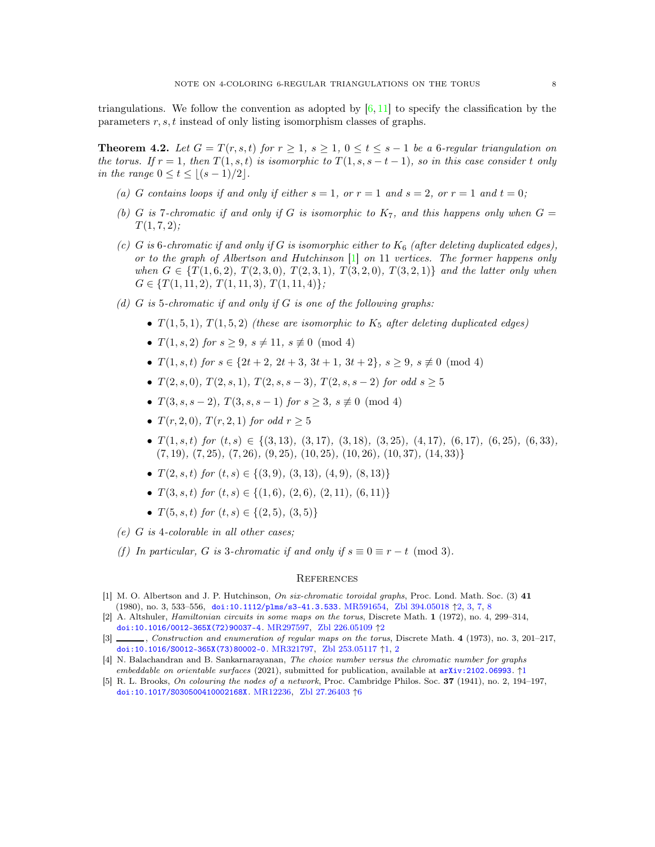<span id="page-7-6"></span><span id="page-7-4"></span>triangulations. We follow the convention as adopted by  $[6, 11]$  $[6, 11]$  to specify the classification by the parameters r, s, t instead of only listing isomorphism classes of graphs.

**Theorem 4.2.** Let  $G = T(r, s, t)$  for  $r \geq 1$ ,  $s \geq 1$ ,  $0 \leq t \leq s - 1$  be a 6-regular triangulation on *the torus. If*  $r = 1$ *, then*  $T(1, s, t)$  *is isomorphic to*  $T(1, s, s - t - 1)$ *, so in this case consider t only in the range*  $0 \le t \le |(s-1)/2|$ *.* 

- (a) G contains loops if and only if either  $s = 1$ , or  $r = 1$  and  $s = 2$ , or  $r = 1$  and  $t = 0$ ;
- (b) G is 7-chromatic if and only if G is isomorphic to  $K_7$ , and this happens only when  $G =$  $T(1, 7, 2)$ ;
- *(c)* G is 6-chromatic if and only if G is isomorphic either to  $K_6$  (after deleting duplicated edges), *or to the graph of Albertson and Hutchinson* [\[1\]](#page-7-3) *on* 11 *vertices. The former happens only when*  $G \in \{T(1,6,2), T(2,3,0), T(2,3,1), T(3,2,0), T(3,2,1)\}$  *and the latter only when*  $G \in \{T(1, 11, 2), T(1, 11, 3), T(1, 11, 4)\};\$
- *(d)* G *is* 5*-chromatic if and only if* G *is one of the following graphs:*
	- $T(1,5,1), T(1,5,2)$  *(these are isomorphic to*  $K_5$  *after deleting duplicated edges)*
	- $T(1, s, 2)$  *for*  $s \geq 9$ *,*  $s \neq 11$ *,*  $s \not\equiv 0 \pmod{4}$
	- $T(1, s, t)$  *for*  $s \in \{2t + 2, 2t + 3, 3t + 1, 3t + 2\}, s > 9, s \not\equiv 0 \pmod{4}$
	- $T(2, s, 0)$ *,*  $T(2, s, 1)$ *,*  $T(2, s, s 3)$ *,*  $T(2, s, s 2)$  *for odd*  $s > 5$
	- $T(3, s, s 2)$ ,  $T(3, s, s 1)$  *for*  $s > 3$ ,  $s \not\equiv 0 \pmod{4}$
	- $T(r, 2, 0)$ *,*  $T(r, 2, 1)$  *for odd*  $r > 5$
	- $T(1, s, t)$  *for*  $(t, s) \in \{(3, 13), (3, 17), (3, 18), (3, 25), (4, 17), (6, 17), (6, 25), (6, 33),$ (7, 19)*,* (7, 25)*,* (7, 26)*,* (9, 25)*,* (10, 25)*,* (10, 26)*,* (10, 37)*,* (14, 33)}
	- $T(2, s, t)$  *for*  $(t, s) \in \{(3, 9), (3, 13), (4, 9), (8, 13)\}$
	- $T(3, s, t)$  *for*  $(t, s) \in \{(1, 6), (2, 6), (2, 11), (6, 11)\}$
	- $T(5, s, t)$  *for*  $(t, s) \in \{(2, 5), (3, 5)\}\$
- *(e)* G *is* 4*-colorable in all other cases;*
- *(f)* In particular, G is 3-chromatic if and only if  $s \equiv 0 \equiv r t \pmod{3}$ .

#### **REFERENCES**

- <span id="page-7-3"></span>[1] M. O. Albertson and J. P. Hutchinson, On six-chromatic toroidal graphs, Proc. Lond. Math. Soc. (3) 41 (1980), no. 3, 533–556, [doi:10.1112/plms/s3-41.3.533](https://doi.org/10.1112/plms/s3-41.3.533). [MR591654,](https://mathscinet.ams.org/mathscinet-getitem?mr=MR591654) [Zbl 394.05018](https://zbmath.org/?q=an:394.05018) ↑[2,](#page-1-3) [3,](#page-2-4) [7,](#page-6-1) [8](#page-7-6)
- <span id="page-7-2"></span>[2] A. Altshuler, Hamiltonian circuits in some maps on the torus, Discrete Math. 1 (1972), no. 4, 299–314, [doi:10.1016/0012-365X\(72\)90037-4](https://doi.org/10.1016/0012-365X(72)90037-4). [MR297597,](https://mathscinet.ams.org/mathscinet-getitem?mr=MR297597) [Zbl 226.05109](https://zbmath.org/?q=an:226.05109) ↑[2](#page-1-3)
- <span id="page-7-0"></span>[3] , Construction and enumeration of regular maps on the torus, Discrete Math. 4 (1973), no. 3, 201–217, [doi:10.1016/S0012-365X\(73\)80002-0](https://doi.org/10.1016/S0012-365X(73)80002-0). [MR321797,](https://mathscinet.ams.org/mathscinet-getitem?mr=MR321797) [Zbl 253.05117](https://zbmath.org/?q=an:253.05117) ↑[1,](#page-0-1) [2](#page-1-3)
- <span id="page-7-1"></span>[4] N. Balachandran and B. Sankarnarayanan, The choice number versus the chromatic number for graphs embeddable on orientable surfaces (2021), submitted for publication, available at [arXiv:2102.06993](https://arxiv.org/abs/2102.06993). ↑[1](#page-0-1)
- <span id="page-7-5"></span>[5] R. L. Brooks, On colouring the nodes of a network, Proc. Cambridge Philos. Soc. 37 (1941), no. 2, 194–197, [doi:10.1017/S030500410002168X](https://doi.org/10.1017/S030500410002168X). [MR12236,](https://mathscinet.ams.org/mathscinet-getitem?mr=MR12236) [Zbl 27.26403](https://zbmath.org/?q=an:27.26403) ↑[6](#page-5-1)